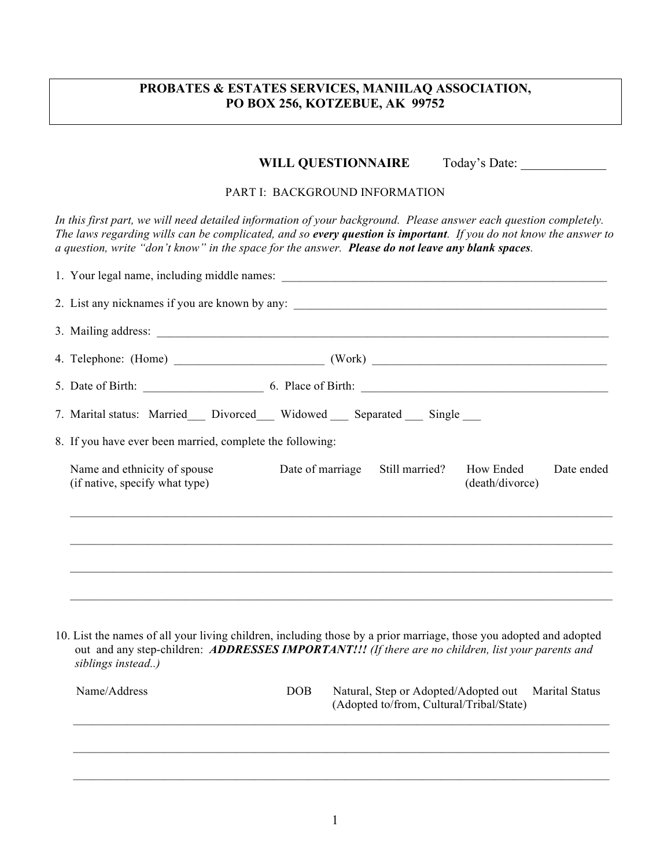## **PROBATES & ESTATES SERVICES, MANIILAQ ASSOCIATION, PO BOX 256, KOTZEBUE, AK 99752**

## **WILL QUESTIONNAIRE** Today's Date: \_\_\_\_\_\_\_\_\_\_\_\_\_

#### PART I: BACKGROUND INFORMATION

*In this first part, we will need detailed information of your background. Please answer each question completely. The laws regarding wills can be complicated, and so every question is important. If you do not know the answer to a question, write "don't know" in the space for the answer. Please do not leave any blank spaces.*

|  | 7. Marital status: Married Divorced Widowed Separated Single                                                                                                                                                                                  |  |  |  |  |  |
|--|-----------------------------------------------------------------------------------------------------------------------------------------------------------------------------------------------------------------------------------------------|--|--|--|--|--|
|  | 8. If you have ever been married, complete the following:                                                                                                                                                                                     |  |  |  |  |  |
|  | Date of marriage<br>How Ended<br>Name and ethnicity of spouse<br>Still married?<br>Date ended<br>(if native, specify what type)<br>(death/divorce)                                                                                            |  |  |  |  |  |
|  |                                                                                                                                                                                                                                               |  |  |  |  |  |
|  |                                                                                                                                                                                                                                               |  |  |  |  |  |
|  | 10. List the names of all your living children, including those by a prior marriage, those you adopted and adopted<br>out and any step-children: ADDRESSES IMPORTANT!!! (If there are no children, list your parents and<br>siblings instead) |  |  |  |  |  |
|  | Name/Address<br>Natural, Step or Adopted/Adopted out<br><b>Marital Status</b><br>DOB<br>(Adopted to/from, Cultural/Tribal/State)                                                                                                              |  |  |  |  |  |
|  |                                                                                                                                                                                                                                               |  |  |  |  |  |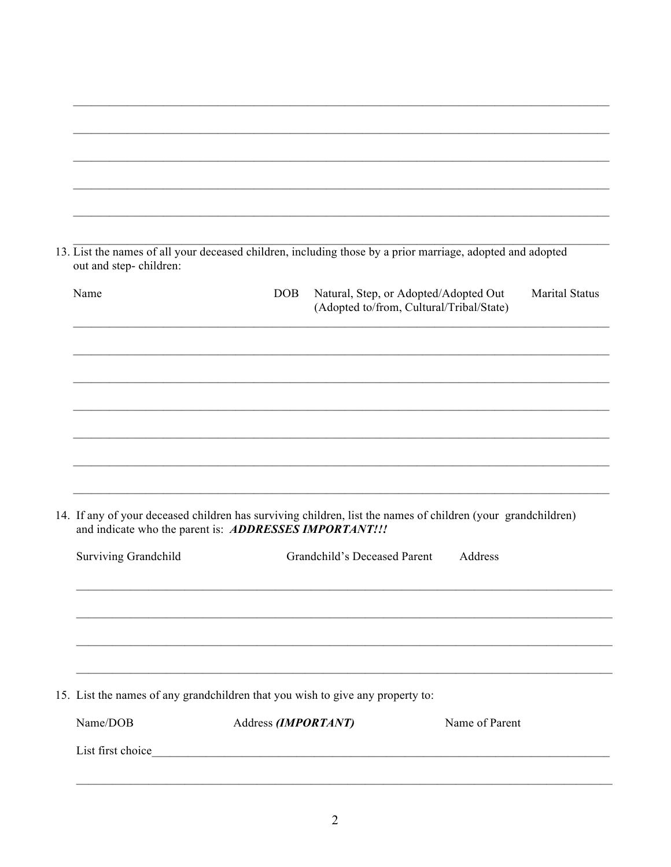| 13. List the names of all your deceased children, including those by a prior marriage, adopted and adopted<br>out and step-children:<br>Name<br>Natural, Step, or Adopted/Adopted Out<br><b>DOB</b><br>(Adopted to/from, Cultural/Tribal/State) | <b>Marital Status</b> |  |  |  |  |
|-------------------------------------------------------------------------------------------------------------------------------------------------------------------------------------------------------------------------------------------------|-----------------------|--|--|--|--|
|                                                                                                                                                                                                                                                 |                       |  |  |  |  |
|                                                                                                                                                                                                                                                 |                       |  |  |  |  |
|                                                                                                                                                                                                                                                 |                       |  |  |  |  |
|                                                                                                                                                                                                                                                 |                       |  |  |  |  |
|                                                                                                                                                                                                                                                 |                       |  |  |  |  |
|                                                                                                                                                                                                                                                 |                       |  |  |  |  |
|                                                                                                                                                                                                                                                 |                       |  |  |  |  |
|                                                                                                                                                                                                                                                 |                       |  |  |  |  |
|                                                                                                                                                                                                                                                 |                       |  |  |  |  |
|                                                                                                                                                                                                                                                 |                       |  |  |  |  |
| 14. If any of your deceased children has surviving children, list the names of children (your grandchildren)<br>and indicate who the parent is: ADDRESSES IMPORTANT!!!                                                                          |                       |  |  |  |  |
| Grandchild's Deceased Parent<br>Address<br>Surviving Grandchild                                                                                                                                                                                 |                       |  |  |  |  |
|                                                                                                                                                                                                                                                 |                       |  |  |  |  |
|                                                                                                                                                                                                                                                 |                       |  |  |  |  |
| <u> 1989 - Johann Stoff, deutscher Stoff, der Stoff, der Stoff, der Stoff, der Stoff, der Stoff, der Stoff, der S</u><br>15. List the names of any grandchildren that you wish to give any property to:                                         |                       |  |  |  |  |
| Name/DOB<br>Address (IMPORTANT)<br>Name of Parent                                                                                                                                                                                               |                       |  |  |  |  |
|                                                                                                                                                                                                                                                 |                       |  |  |  |  |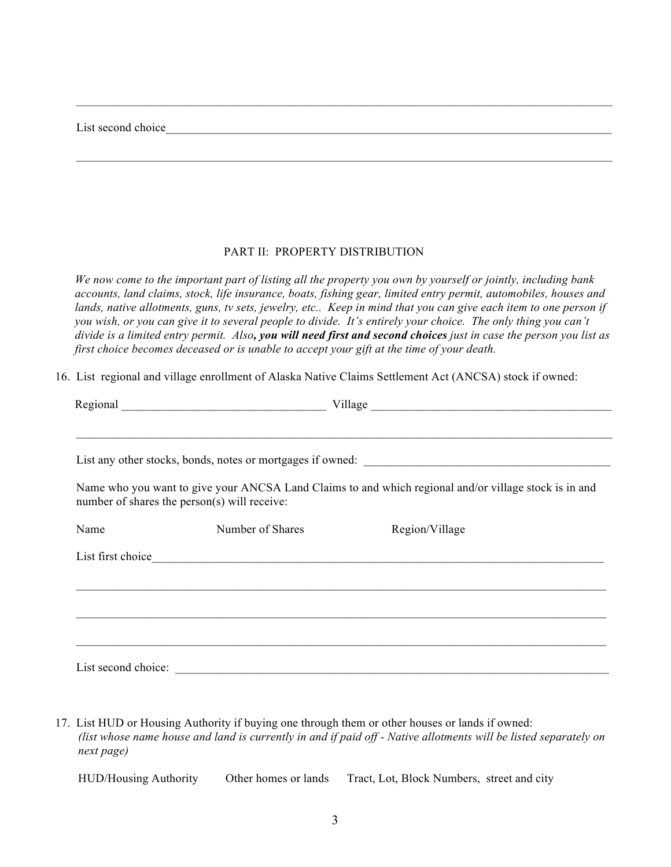List second choice

#### PART II: PROPERTY DISTRIBUTION

 $\mathcal{L}_\text{max} = \mathcal{L}_\text{max} = \mathcal{L}_\text{max} = \mathcal{L}_\text{max} = \mathcal{L}_\text{max} = \mathcal{L}_\text{max} = \mathcal{L}_\text{max} = \mathcal{L}_\text{max} = \mathcal{L}_\text{max} = \mathcal{L}_\text{max} = \mathcal{L}_\text{max} = \mathcal{L}_\text{max} = \mathcal{L}_\text{max} = \mathcal{L}_\text{max} = \mathcal{L}_\text{max} = \mathcal{L}_\text{max} = \mathcal{L}_\text{max} = \mathcal{L}_\text{max} = \mathcal{$ 

 $\mathcal{L}_\text{max} = \mathcal{L}_\text{max} = \mathcal{L}_\text{max} = \mathcal{L}_\text{max} = \mathcal{L}_\text{max} = \mathcal{L}_\text{max} = \mathcal{L}_\text{max} = \mathcal{L}_\text{max} = \mathcal{L}_\text{max} = \mathcal{L}_\text{max} = \mathcal{L}_\text{max} = \mathcal{L}_\text{max} = \mathcal{L}_\text{max} = \mathcal{L}_\text{max} = \mathcal{L}_\text{max} = \mathcal{L}_\text{max} = \mathcal{L}_\text{max} = \mathcal{L}_\text{max} = \mathcal{$ 

*We now come to the important part of listing all the property you own by yourself or jointly, including bank accounts, land claims, stock, life insurance, boats, fishing gear, limited entry permit, automobiles, houses and lands, native allotments, guns, tv sets, jewelry, etc.. Keep in mind that you can give each item to one person if you wish, or you can give it to several people to divide. It's entirely your choice. The only thing you can't divide is a limited entry permit. Also, you will need first and second choices just in case the person you list as first choice becomes deceased or is unable to accept your gift at the time of your death.*

16. List regional and village enrollment of Alaska Native Claims Settlement Act (ANCSA) stock if owned:

|      | Regional expression and the contract of the contract of the contract of the contract of the contract of the contract of the contract of the contract of the contract of the contract of the contract of the contract of the co | Village experience and the contract of the contract of the contract of the contract of the contract of the contract of the contract of the contract of the contract of the contract of the contract of the contract of the con |
|------|--------------------------------------------------------------------------------------------------------------------------------------------------------------------------------------------------------------------------------|--------------------------------------------------------------------------------------------------------------------------------------------------------------------------------------------------------------------------------|
|      |                                                                                                                                                                                                                                |                                                                                                                                                                                                                                |
|      |                                                                                                                                                                                                                                |                                                                                                                                                                                                                                |
|      |                                                                                                                                                                                                                                |                                                                                                                                                                                                                                |
|      | number of shares the person(s) will receive:                                                                                                                                                                                   | Name who you want to give your ANCSA Land Claims to and which regional and/or village stock is in and                                                                                                                          |
| Name | Number of Shares                                                                                                                                                                                                               | Region/Village                                                                                                                                                                                                                 |
|      | List first choice                                                                                                                                                                                                              |                                                                                                                                                                                                                                |
|      |                                                                                                                                                                                                                                |                                                                                                                                                                                                                                |
|      |                                                                                                                                                                                                                                |                                                                                                                                                                                                                                |
|      |                                                                                                                                                                                                                                |                                                                                                                                                                                                                                |
|      |                                                                                                                                                                                                                                |                                                                                                                                                                                                                                |
|      |                                                                                                                                                                                                                                |                                                                                                                                                                                                                                |
|      | List second choice:                                                                                                                                                                                                            |                                                                                                                                                                                                                                |

17. List HUD or Housing Authority if buying one through them or other houses or lands if owned: *(list whose name house and land is currently in and if paid off - Native allotments will be listed separately on next page)*

HUD/Housing Authority Other homes or lands Tract, Lot, Block Numbers, street and city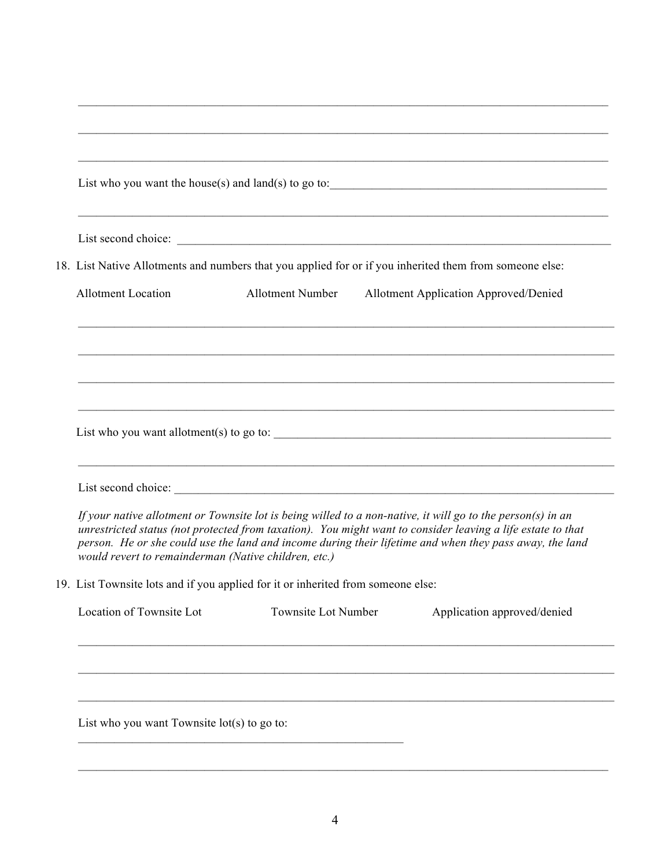| 18. List Native Allotments and numbers that you applied for or if you inherited them from someone else: |                     |  |                                                                                                                                                                                                                                                                                                                                       |  |
|---------------------------------------------------------------------------------------------------------|---------------------|--|---------------------------------------------------------------------------------------------------------------------------------------------------------------------------------------------------------------------------------------------------------------------------------------------------------------------------------------|--|
| <b>Allotment Location</b>                                                                               |                     |  | Allotment Number Allotment Application Approved/Denied                                                                                                                                                                                                                                                                                |  |
|                                                                                                         |                     |  |                                                                                                                                                                                                                                                                                                                                       |  |
|                                                                                                         |                     |  |                                                                                                                                                                                                                                                                                                                                       |  |
|                                                                                                         |                     |  |                                                                                                                                                                                                                                                                                                                                       |  |
|                                                                                                         |                     |  |                                                                                                                                                                                                                                                                                                                                       |  |
| would revert to remainderman (Native children, etc.)                                                    |                     |  | If your native allotment or Townsite lot is being willed to a non-native, it will go to the person(s) in an<br>unrestricted status (not protected from taxation). You might want to consider leaving a life estate to that<br>person. He or she could use the land and income during their lifetime and when they pass away, the land |  |
| 19. List Townsite lots and if you applied for it or inherited from someone else:                        |                     |  |                                                                                                                                                                                                                                                                                                                                       |  |
| Location of Townsite Lot                                                                                | Townsite Lot Number |  | Application approved/denied                                                                                                                                                                                                                                                                                                           |  |
|                                                                                                         |                     |  |                                                                                                                                                                                                                                                                                                                                       |  |

 $\mathcal{L}_\text{max} = \mathcal{L}_\text{max} = \mathcal{L}_\text{max} = \mathcal{L}_\text{max} = \mathcal{L}_\text{max} = \mathcal{L}_\text{max} = \mathcal{L}_\text{max} = \mathcal{L}_\text{max} = \mathcal{L}_\text{max} = \mathcal{L}_\text{max} = \mathcal{L}_\text{max} = \mathcal{L}_\text{max} = \mathcal{L}_\text{max} = \mathcal{L}_\text{max} = \mathcal{L}_\text{max} = \mathcal{L}_\text{max} = \mathcal{L}_\text{max} = \mathcal{L}_\text{max} = \mathcal{$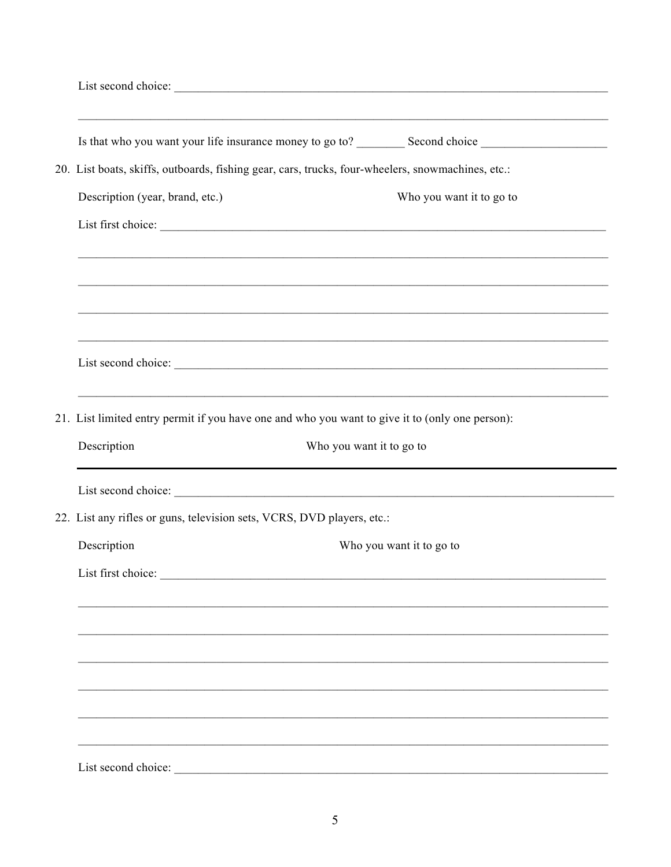|                                                                                                   |                                                                                                                       | <u> 1989 - Johann Stoff, deutscher Stoff, der Stoff, der Stoff, der Stoff, der Stoff, der Stoff, der Stoff, der S</u> |  |  |  |
|---------------------------------------------------------------------------------------------------|-----------------------------------------------------------------------------------------------------------------------|-----------------------------------------------------------------------------------------------------------------------|--|--|--|
| 20. List boats, skiffs, outboards, fishing gear, cars, trucks, four-wheelers, snowmachines, etc.: |                                                                                                                       |                                                                                                                       |  |  |  |
| Description (year, brand, etc.)                                                                   |                                                                                                                       | Who you want it to go to                                                                                              |  |  |  |
|                                                                                                   |                                                                                                                       |                                                                                                                       |  |  |  |
|                                                                                                   |                                                                                                                       |                                                                                                                       |  |  |  |
|                                                                                                   |                                                                                                                       |                                                                                                                       |  |  |  |
|                                                                                                   |                                                                                                                       | ,我们也不会有什么。""我们的人,我们也不会有什么?""我们的人,我们也不会有什么?""我们的人,我们也不会有什么?""我们的人,我们也不会有什么?""我们的人                                      |  |  |  |
| 21. List limited entry permit if you have one and who you want to give it to (only one person):   |                                                                                                                       |                                                                                                                       |  |  |  |
| Description                                                                                       | Who you want it to go to                                                                                              |                                                                                                                       |  |  |  |
|                                                                                                   |                                                                                                                       |                                                                                                                       |  |  |  |
| 22. List any rifles or guns, television sets, VCRS, DVD players, etc.:                            |                                                                                                                       |                                                                                                                       |  |  |  |
| Description                                                                                       |                                                                                                                       | Who you want it to go to                                                                                              |  |  |  |
| List first choice:                                                                                | <u> 2000 - Jan James James Barnett, martin de la populación de la propia de la propia de la propia de la propia d</u> |                                                                                                                       |  |  |  |
|                                                                                                   |                                                                                                                       |                                                                                                                       |  |  |  |
|                                                                                                   |                                                                                                                       |                                                                                                                       |  |  |  |
|                                                                                                   |                                                                                                                       |                                                                                                                       |  |  |  |
|                                                                                                   |                                                                                                                       |                                                                                                                       |  |  |  |
|                                                                                                   |                                                                                                                       |                                                                                                                       |  |  |  |
|                                                                                                   |                                                                                                                       |                                                                                                                       |  |  |  |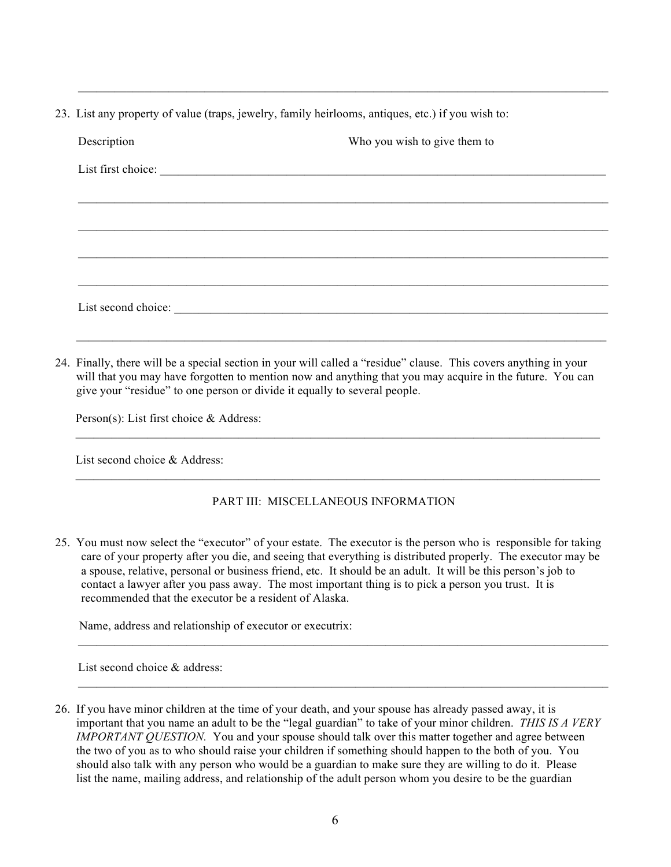23. List any property of value (traps, jewelry, family heirlooms, antiques, etc.) if you wish to:

| Description         | Who you wish to give them to |
|---------------------|------------------------------|
|                     | List first choice:           |
|                     |                              |
|                     |                              |
|                     |                              |
|                     |                              |
| List second choice: |                              |
|                     |                              |

 $\mathcal{L}_\text{max} = \mathcal{L}_\text{max} = \mathcal{L}_\text{max} = \mathcal{L}_\text{max} = \mathcal{L}_\text{max} = \mathcal{L}_\text{max} = \mathcal{L}_\text{max} = \mathcal{L}_\text{max} = \mathcal{L}_\text{max} = \mathcal{L}_\text{max} = \mathcal{L}_\text{max} = \mathcal{L}_\text{max} = \mathcal{L}_\text{max} = \mathcal{L}_\text{max} = \mathcal{L}_\text{max} = \mathcal{L}_\text{max} = \mathcal{L}_\text{max} = \mathcal{L}_\text{max} = \mathcal{$ 

24. Finally, there will be a special section in your will called a "residue" clause. This covers anything in your will that you may have forgotten to mention now and anything that you may acquire in the future. You can give your "residue" to one person or divide it equally to several people.

Person(s): List first choice & Address:

List second choice & Address:

### PART III: MISCELLANEOUS INFORMATION

\_\_\_\_\_\_\_\_\_\_\_\_\_\_\_\_\_\_\_\_\_\_\_\_\_\_\_\_\_\_\_\_\_\_\_\_\_\_\_\_\_\_\_\_\_\_\_\_\_\_\_\_\_\_\_\_\_\_\_\_\_\_\_\_\_\_\_\_\_\_\_\_\_\_\_\_\_\_\_\_\_\_\_\_\_\_\_

 $\mathcal{L}_\text{max} = \mathcal{L}_\text{max} = \mathcal{L}_\text{max} = \mathcal{L}_\text{max} = \mathcal{L}_\text{max} = \mathcal{L}_\text{max} = \mathcal{L}_\text{max} = \mathcal{L}_\text{max} = \mathcal{L}_\text{max} = \mathcal{L}_\text{max} = \mathcal{L}_\text{max} = \mathcal{L}_\text{max} = \mathcal{L}_\text{max} = \mathcal{L}_\text{max} = \mathcal{L}_\text{max} = \mathcal{L}_\text{max} = \mathcal{L}_\text{max} = \mathcal{L}_\text{max} = \mathcal{$ 

25. You must now select the "executor" of your estate. The executor is the person who is responsible for taking care of your property after you die, and seeing that everything is distributed properly. The executor may be a spouse, relative, personal or business friend, etc. It should be an adult. It will be this person's job to contact a lawyer after you pass away. The most important thing is to pick a person you trust. It is recommended that the executor be a resident of Alaska.

 $\mathcal{L}_\text{max} = \mathcal{L}_\text{max} = \mathcal{L}_\text{max} = \mathcal{L}_\text{max} = \mathcal{L}_\text{max} = \mathcal{L}_\text{max} = \mathcal{L}_\text{max} = \mathcal{L}_\text{max} = \mathcal{L}_\text{max} = \mathcal{L}_\text{max} = \mathcal{L}_\text{max} = \mathcal{L}_\text{max} = \mathcal{L}_\text{max} = \mathcal{L}_\text{max} = \mathcal{L}_\text{max} = \mathcal{L}_\text{max} = \mathcal{L}_\text{max} = \mathcal{L}_\text{max} = \mathcal{$ 

Name, address and relationship of executor or executrix:

List second choice & address:

26. If you have minor children at the time of your death, and your spouse has already passed away, it is important that you name an adult to be the "legal guardian" to take of your minor children. *THIS IS A VERY IMPORTANT QUESTION.* You and your spouse should talk over this matter together and agree between the two of you as to who should raise your children if something should happen to the both of you. You should also talk with any person who would be a guardian to make sure they are willing to do it. Please list the name, mailing address, and relationship of the adult person whom you desire to be the guardian